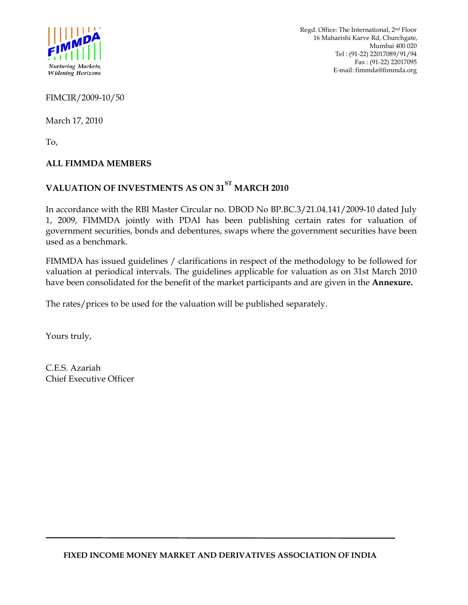

FIMCIR/2009-10/50

March 17, 2010

To,

# **ALL FIMMDA MEMBERS**

# **VALUATION OF INVESTMENTS AS ON 31ST MARCH 2010**

In accordance with the RBI Master Circular no. DBOD No BP.BC.3/21.04.141/2009-10 dated July 1, 2009, FIMMDA jointly with PDAI has been publishing certain rates for valuation of government securities, bonds and debentures, swaps where the government securities have been used as a benchmark.

FIMMDA has issued guidelines / clarifications in respect of the methodology to be followed for valuation at periodical intervals. The guidelines applicable for valuation as on 31st March 2010 have been consolidated for the benefit of the market participants and are given in the **Annexure.**

The rates/prices to be used for the valuation will be published separately.

Yours truly,

C.E.S. Azariah Chief Executive Officer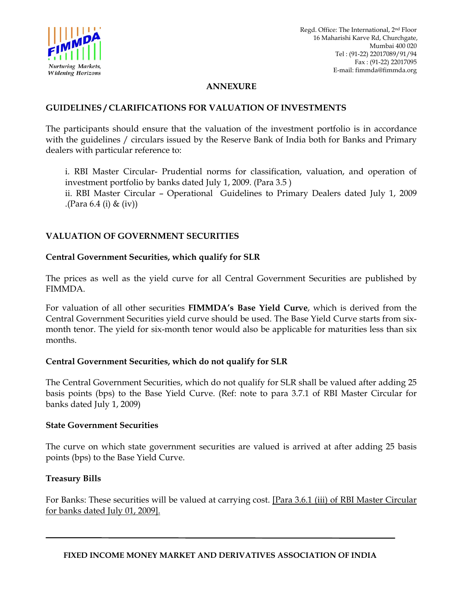

## **ANNEXURE**

#### **GUIDELINES / CLARIFICATIONS FOR VALUATION OF INVESTMENTS**

The participants should ensure that the valuation of the investment portfolio is in accordance with the guidelines / circulars issued by the Reserve Bank of India both for Banks and Primary dealers with particular reference to:

i. RBI Master Circular- Prudential norms for classification, valuation, and operation of investment portfolio by banks dated July 1, 2009. (Para 3.5 ) ii. RBI Master Circular – Operational Guidelines to Primary Dealers dated July 1, 2009 .(Para  $6.4$  (i) & (iv))

# **VALUATION OF GOVERNMENT SECURITIES**

#### **Central Government Securities, which qualify for SLR**

The prices as well as the yield curve for all Central Government Securities are published by FIMMDA.

For valuation of all other securities **FIMMDA's Base Yield Curve**, which is derived from the Central Government Securities yield curve should be used. The Base Yield Curve starts from sixmonth tenor. The yield for six-month tenor would also be applicable for maturities less than six months.

#### **Central Government Securities, which do not qualify for SLR**

The Central Government Securities, which do not qualify for SLR shall be valued after adding 25 basis points (bps) to the Base Yield Curve. (Ref: note to para 3.7.1 of RBI Master Circular for banks dated July 1, 2009)

#### **State Government Securities**

The curve on which state government securities are valued is arrived at after adding 25 basis points (bps) to the Base Yield Curve.

#### **Treasury Bills**

For Banks: These securities will be valued at carrying cost. [Para 3.6.1 (iii) of RBI Master Circular for banks dated July 01, 2009].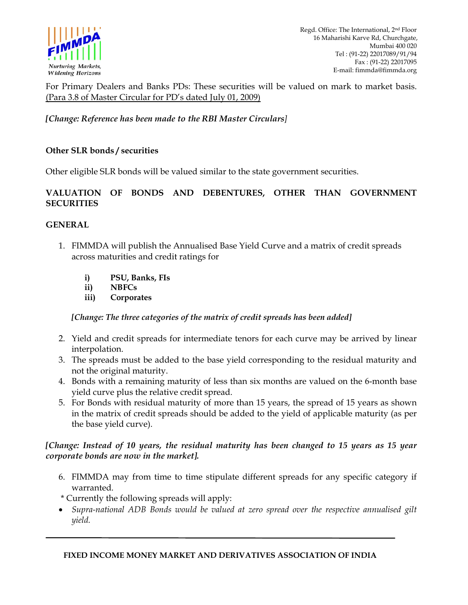

For Primary Dealers and Banks PDs: These securities will be valued on mark to market basis. (Para 3.8 of Master Circular for PD's dated July 01, 2009)

*[Change: Reference has been made to the RBI Master Circulars]* 

## **Other SLR bonds / securities**

Other eligible SLR bonds will be valued similar to the state government securities.

## **VALUATION OF BONDS AND DEBENTURES, OTHER THAN GOVERNMENT SECURITIES**

#### **GENERAL**

- 1. FIMMDA will publish the Annualised Base Yield Curve and a matrix of credit spreads across maturities and credit ratings for
	- **i) PSU, Banks, FIs**
	- **ii) NBFCs**
	- **iii) Corporates**

*[Change: The three categories of the matrix of credit spreads has been added]* 

- 2. Yield and credit spreads for intermediate tenors for each curve may be arrived by linear interpolation.
- 3. The spreads must be added to the base yield corresponding to the residual maturity and not the original maturity.
- 4. Bonds with a remaining maturity of less than six months are valued on the 6-month base yield curve plus the relative credit spread.
- 5. For Bonds with residual maturity of more than 15 years, the spread of 15 years as shown in the matrix of credit spreads should be added to the yield of applicable maturity (as per the base yield curve).

## *[Change: Instead of 10 years, the residual maturity has been changed to 15 years as 15 year corporate bonds are now in the market].*

- 6. FIMMDA may from time to time stipulate different spreads for any specific category if warranted.
- \* Currently the following spreads will apply:
- *Supra-national ADB Bonds would be valued at zero spread over the respective annualised gilt yield.*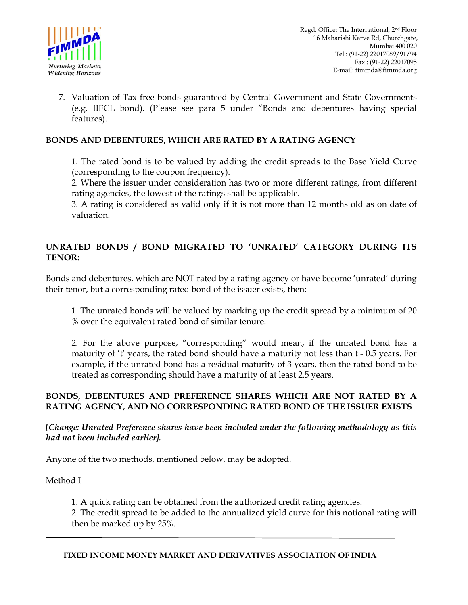

7. Valuation of Tax free bonds guaranteed by Central Government and State Governments (e.g. IIFCL bond). (Please see para 5 under "Bonds and debentures having special features).

## **BONDS AND DEBENTURES, WHICH ARE RATED BY A RATING AGENCY**

1. The rated bond is to be valued by adding the credit spreads to the Base Yield Curve (corresponding to the coupon frequency).

2. Where the issuer under consideration has two or more different ratings, from different rating agencies, the lowest of the ratings shall be applicable.

3. A rating is considered as valid only if it is not more than 12 months old as on date of valuation.

# **UNRATED BONDS / BOND MIGRATED TO 'UNRATED' CATEGORY DURING ITS TENOR:**

Bonds and debentures, which are NOT rated by a rating agency or have become 'unrated' during their tenor, but a corresponding rated bond of the issuer exists, then:

1. The unrated bonds will be valued by marking up the credit spread by a minimum of 20 % over the equivalent rated bond of similar tenure.

2. For the above purpose, "corresponding" would mean, if the unrated bond has a maturity of 't' years, the rated bond should have a maturity not less than t - 0.5 years. For example, if the unrated bond has a residual maturity of 3 years, then the rated bond to be treated as corresponding should have a maturity of at least 2.5 years.

## **BONDS, DEBENTURES AND PREFERENCE SHARES WHICH ARE NOT RATED BY A RATING AGENCY, AND NO CORRESPONDING RATED BOND OF THE ISSUER EXISTS**

*[Change: Unrated Preference shares have been included under the following methodology as this had not been included earlier].* 

Anyone of the two methods, mentioned below, may be adopted.

#### Method I

1. A quick rating can be obtained from the authorized credit rating agencies.

2. The credit spread to be added to the annualized yield curve for this notional rating will then be marked up by 25%.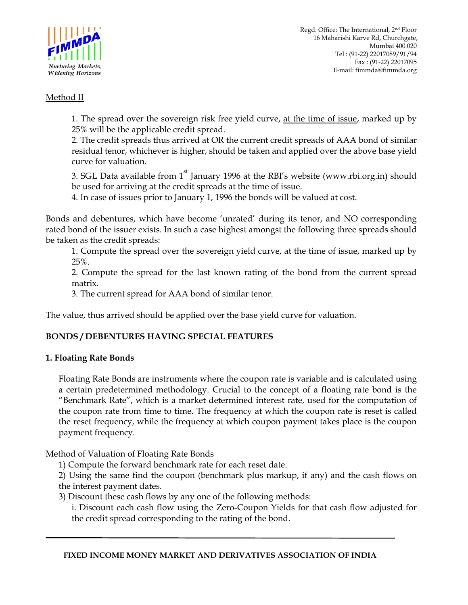

# Method II

1. The spread over the sovereign risk free yield curve, at the time of issue, marked up by 25% will be the applicable credit spread.

2. The credit spreads thus arrived at OR the current credit spreads of AAA bond of similar residual tenor, whichever is higher, should be taken and applied over the above base yield curve for valuation.

3. SGL Data available from  $1<sup>st</sup>$  January 1996 at the RBI's website (www.rbi.org.in) should be used for arriving at the credit spreads at the time of issue.

4. In case of issues prior to January 1, 1996 the bonds will be valued at cost.

Bonds and debentures, which have become 'unrated' during its tenor, and NO corresponding rated bond of the issuer exists. In such a case highest amongst the following three spreads should be taken as the credit spreads:

1. Compute the spread over the sovereign yield curve, at the time of issue, marked up by 25%.

2. Compute the spread for the last known rating of the bond from the current spread matrix.

3. The current spread for AAA bond of similar tenor.

The value, thus arrived should be applied over the base yield curve for valuation.

# **BONDS / DEBENTURES HAVING SPECIAL FEATURES**

# **1. Floating Rate Bonds**

Floating Rate Bonds are instruments where the coupon rate is variable and is calculated using a certain predetermined methodology. Crucial to the concept of a floating rate bond is the "Benchmark Rate", which is a market determined interest rate, used for the computation of the coupon rate from time to time. The frequency at which the coupon rate is reset is called the reset frequency, while the frequency at which coupon payment takes place is the coupon payment frequency.

Method of Valuation of Floating Rate Bonds

1) Compute the forward benchmark rate for each reset date.

2) Using the same find the coupon (benchmark plus markup, if any) and the cash flows on the interest payment dates.

3) Discount these cash flows by any one of the following methods:

i. Discount each cash flow using the Zero-Coupon Yields for that cash flow adjusted for the credit spread corresponding to the rating of the bond.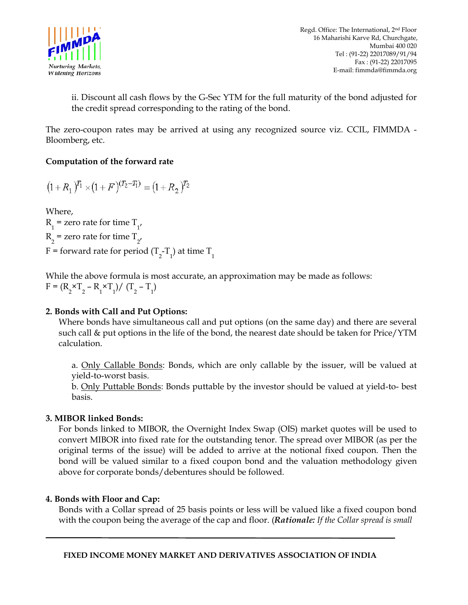

ii. Discount all cash flows by the G-Sec YTM for the full maturity of the bond adjusted for the credit spread corresponding to the rating of the bond.

The zero-coupon rates may be arrived at using any recognized source viz. CCIL, FIMMDA - Bloomberg, etc.

# **Computation of the forward rate**

$$
(1+R_1)^{T_1} \times (1+F)^{(T_2-T_1)} = (1+R_2)^{T_2}
$$

Where,  $R_1$  = zero rate for time  $T_{1'}$  $R_2$  = zero rate for time  $T_{2'}$ F = forward rate for period (T<sub>2</sub>-T<sub>1</sub>) at time T<sub>1</sub>

While the above formula is most accurate, an approximation may be made as follows:  $F = (R_2 \times T_2 - R_1 \times T_1) / (T_2 - T_1)$ 

# **2. Bonds with Call and Put Options:**

Where bonds have simultaneous call and put options (on the same day) and there are several such call & put options in the life of the bond, the nearest date should be taken for Price/YTM calculation.

a. Only Callable Bonds: Bonds, which are only callable by the issuer, will be valued at yield-to-worst basis.

b. Only Puttable Bonds: Bonds puttable by the investor should be valued at yield-to- best basis.

# **3. MIBOR linked Bonds:**

For bonds linked to MIBOR, the Overnight Index Swap (OIS) market quotes will be used to convert MIBOR into fixed rate for the outstanding tenor. The spread over MIBOR (as per the original terms of the issue) will be added to arrive at the notional fixed coupon. Then the bond will be valued similar to a fixed coupon bond and the valuation methodology given above for corporate bonds/debentures should be followed*.* 

#### **4. Bonds with Floor and Cap:**

Bonds with a Collar spread of 25 basis points or less will be valued like a fixed coupon bond with the coupon being the average of the cap and floor. (*Rationale: If the Collar spread is small*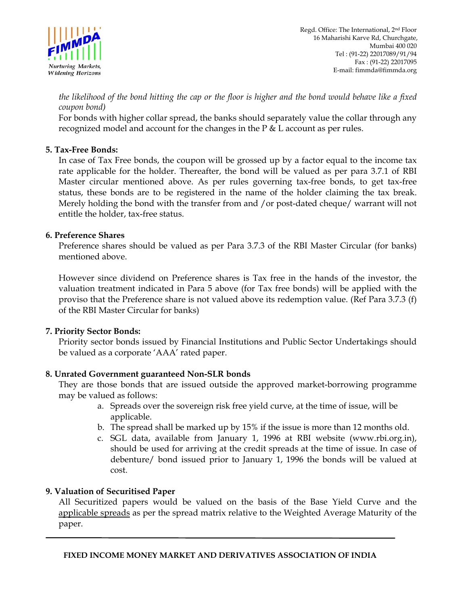

*the likelihood of the bond hitting the cap or the floor is higher and the bond would behave like a fixed coupon bond)* 

For bonds with higher collar spread, the banks should separately value the collar through any recognized model and account for the changes in the P & L account as per rules.

## **5. Tax-Free Bonds:**

In case of Tax Free bonds, the coupon will be grossed up by a factor equal to the income tax rate applicable for the holder. Thereafter, the bond will be valued as per para 3.7.1 of RBI Master circular mentioned above. As per rules governing tax-free bonds, to get tax-free status, these bonds are to be registered in the name of the holder claiming the tax break. Merely holding the bond with the transfer from and /or post-dated cheque/ warrant will not entitle the holder, tax-free status.

## **6. Preference Shares**

Preference shares should be valued as per Para 3.7.3 of the RBI Master Circular (for banks) mentioned above.

However since dividend on Preference shares is Tax free in the hands of the investor, the valuation treatment indicated in Para 5 above (for Tax free bonds) will be applied with the proviso that the Preference share is not valued above its redemption value. (Ref Para 3.7.3 (f) of the RBI Master Circular for banks)

# **7. Priority Sector Bonds:**

Priority sector bonds issued by Financial Institutions and Public Sector Undertakings should be valued as a corporate 'AAA' rated paper.

# **8. Unrated Government guaranteed Non-SLR bonds**

They are those bonds that are issued outside the approved market-borrowing programme may be valued as follows:

- a. Spreads over the sovereign risk free yield curve, at the time of issue, will be applicable.
- b. The spread shall be marked up by 15% if the issue is more than 12 months old.
- c. SGL data, available from January 1, 1996 at RBI website (www.rbi.org.in), should be used for arriving at the credit spreads at the time of issue. In case of debenture/ bond issued prior to January 1, 1996 the bonds will be valued at cost.

#### **9. Valuation of Securitised Paper**

All Securitized papers would be valued on the basis of the Base Yield Curve and the applicable spreads as per the spread matrix relative to the Weighted Average Maturity of the paper.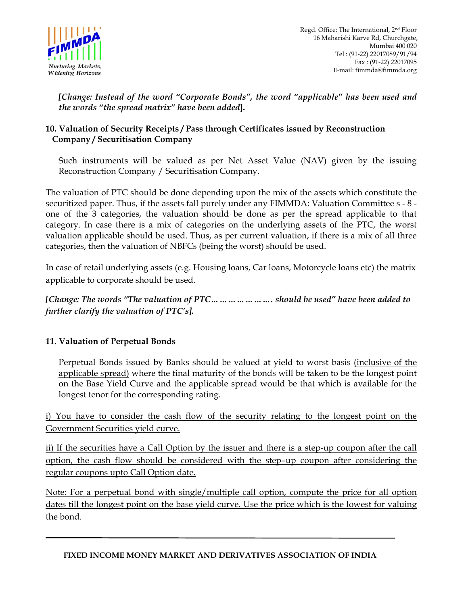

*[Change: Instead of the word "Corporate Bonds", the word "applicable" has been used and the words "the spread matrix" have been added***].** 

# **10. Valuation of Security Receipts / Pass through Certificates issued by Reconstruction Company / Securitisation Company**

Such instruments will be valued as per Net Asset Value (NAV) given by the issuing Reconstruction Company / Securitisation Company.

The valuation of PTC should be done depending upon the mix of the assets which constitute the securitized paper. Thus, if the assets fall purely under any FIMMDA: Valuation Committee s - 8 one of the 3 categories, the valuation should be done as per the spread applicable to that category. In case there is a mix of categories on the underlying assets of the PTC, the worst valuation applicable should be used. Thus, as per current valuation, if there is a mix of all three categories, then the valuation of NBFCs (being the worst) should be used.

In case of retail underlying assets (e.g. Housing loans, Car loans, Motorcycle loans etc) the matrix applicable to corporate should be used.

*[Change: The words "The valuation of PTC…………………. should be used" have been added to further clarify the valuation of PTC's].* 

# **11. Valuation of Perpetual Bonds**

Perpetual Bonds issued by Banks should be valued at yield to worst basis (inclusive of the applicable spread) where the final maturity of the bonds will be taken to be the longest point on the Base Yield Curve and the applicable spread would be that which is available for the longest tenor for the corresponding rating.

i) You have to consider the cash flow of the security relating to the longest point on the Government Securities yield curve.

ii) If the securities have a Call Option by the issuer and there is a step-up coupon after the call option, the cash flow should be considered with the step–up coupon after considering the regular coupons upto Call Option date.

Note: For a perpetual bond with single/multiple call option, compute the price for all option dates till the longest point on the base yield curve. Use the price which is the lowest for valuing the bond.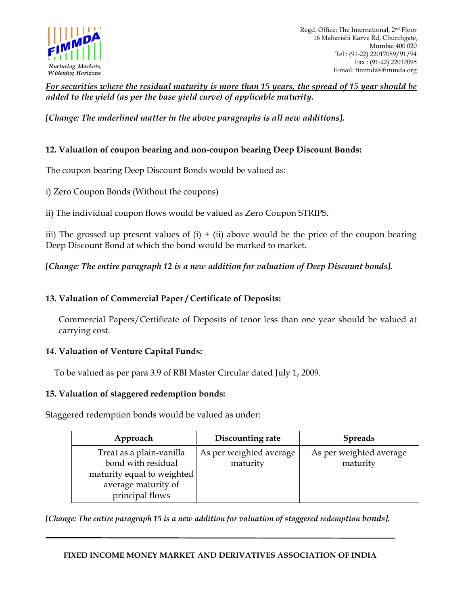

*For securities where the residual maturity is more than 15 years, the spread of 15 year should be added to the yield (as per the base yield curve) of applicable maturity.*

*[Change: The underlined matter in the above paragraphs is all new additions].* 

# **12. Valuation of coupon bearing and non-coupon bearing Deep Discount Bonds:**

The coupon bearing Deep Discount Bonds would be valued as:

i) Zero Coupon Bonds (Without the coupons)

ii) The individual coupon flows would be valued as Zero Coupon STRIPS.

iii) The grossed up present values of  $(i) + (ii)$  above would be the price of the coupon bearing Deep Discount Bond at which the bond would be marked to market.

*[Change: The entire paragraph 12 is a new addition for valuation of Deep Discount bonds].* 

## **13. Valuation of Commercial Paper / Certificate of Deposits:**

Commercial Papers/Certificate of Deposits of tenor less than one year should be valued at carrying cost.

#### **14. Valuation of Venture Capital Funds:**

To be valued as per para 3.9 of RBI Master Circular dated July 1, 2009.

#### **15. Valuation of staggered redemption bonds:**

Staggered redemption bonds would be valued as under:

| Approach                                                                                                               | Discounting rate                    | <b>Spreads</b>                      |
|------------------------------------------------------------------------------------------------------------------------|-------------------------------------|-------------------------------------|
| Treat as a plain-vanilla<br>bond with residual<br>maturity equal to weighted<br>average maturity of<br>principal flows | As per weighted average<br>maturity | As per weighted average<br>maturity |

*[Change: The entire paragraph 15 is a new addition for valuation of staggered redemption bonds].* 

#### **FIXED INCOME MONEY MARKET AND DERIVATIVES ASSOCIATION OF INDIA**